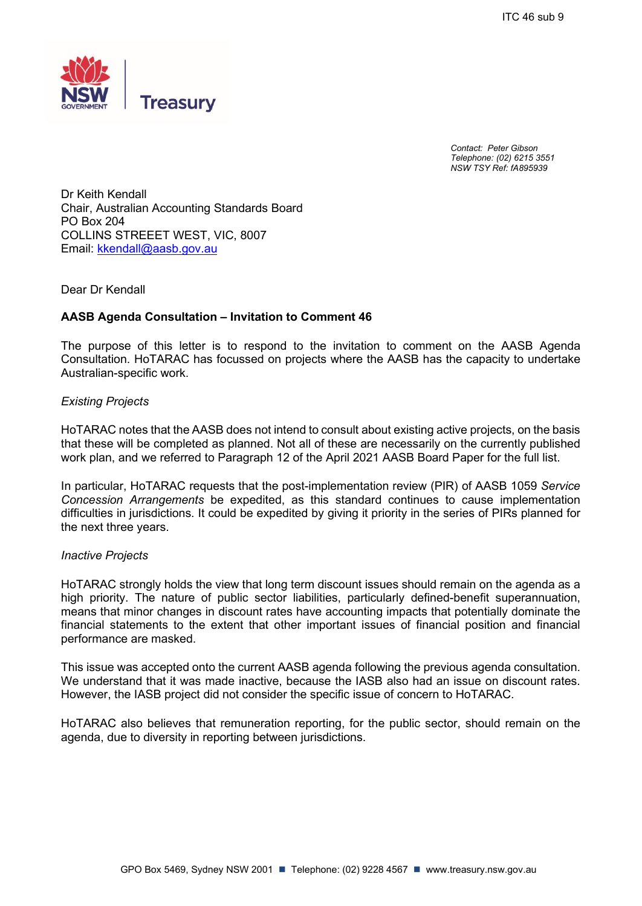

*Contact: Peter Gibson Telephone: (02) 6215 3551 NSW TSY Ref: fA895939*

Dr Keith Kendall Chair, Australian Accounting Standards Board PO Box 204 COLLINS STREEET WEST, VIC, 8007 Email: [kkendall@aasb.gov.au](mailto:kkendall@aasb.gov.au)

### Dear Dr Kendall

### **AASB Agenda Consultation – Invitation to Comment 46**

The purpose of this letter is to respond to the invitation to comment on the AASB Agenda Consultation. HoTARAC has focussed on projects where the AASB has the capacity to undertake Australian-specific work.

#### *Existing Projects*

HoTARAC notes that the AASB does not intend to consult about existing active projects, on the basis that these will be completed as planned. Not all of these are necessarily on the currently published work plan, and we referred to Paragraph 12 of the April 2021 AASB Board Paper for the full list.

In particular, HoTARAC requests that the post-implementation review (PIR) of AASB 1059 *Service Concession Arrangements* be expedited, as this standard continues to cause implementation difficulties in jurisdictions. It could be expedited by giving it priority in the series of PIRs planned for the next three years.

#### *Inactive Projects*

HoTARAC strongly holds the view that long term discount issues should remain on the agenda as a high priority. The nature of public sector liabilities, particularly defined-benefit superannuation, means that minor changes in discount rates have accounting impacts that potentially dominate the financial statements to the extent that other important issues of financial position and financial performance are masked.

This issue was accepted onto the current AASB agenda following the previous agenda consultation. We understand that it was made inactive, because the IASB also had an issue on discount rates. However, the IASB project did not consider the specific issue of concern to HoTARAC.

HoTARAC also believes that remuneration reporting, for the public sector, should remain on the agenda, due to diversity in reporting between jurisdictions.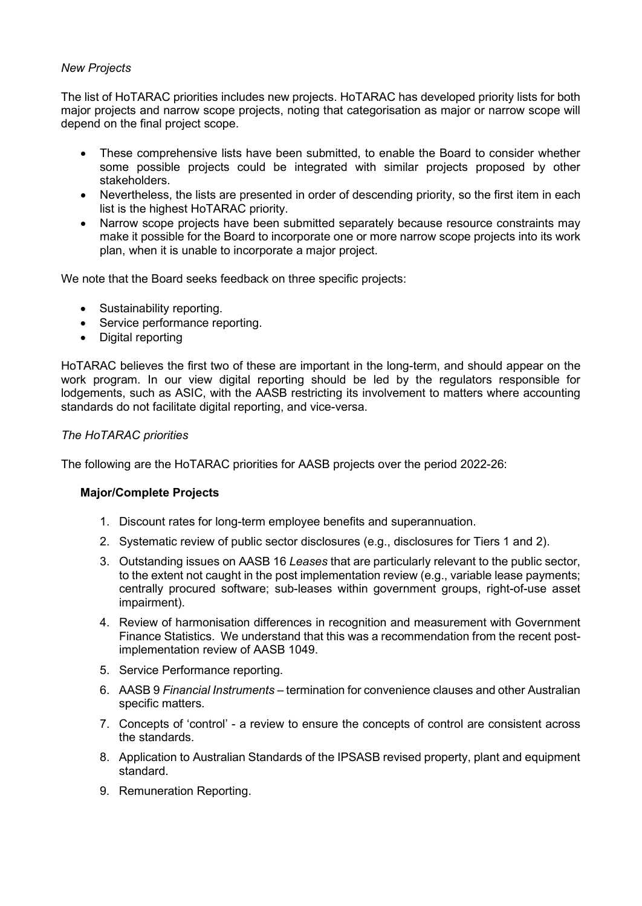# *New Projects*

The list of HoTARAC priorities includes new projects. HoTARAC has developed priority lists for both major projects and narrow scope projects, noting that categorisation as major or narrow scope will depend on the final project scope.

- These comprehensive lists have been submitted, to enable the Board to consider whether some possible projects could be integrated with similar projects proposed by other stakeholders.
- Nevertheless, the lists are presented in order of descending priority, so the first item in each list is the highest HoTARAC priority.
- Narrow scope projects have been submitted separately because resource constraints may make it possible for the Board to incorporate one or more narrow scope projects into its work plan, when it is unable to incorporate a major project.

We note that the Board seeks feedback on three specific projects:

- Sustainability reporting.
- Service performance reporting.
- Digital reporting

HoTARAC believes the first two of these are important in the long-term, and should appear on the work program. In our view digital reporting should be led by the regulators responsible for lodgements, such as ASIC, with the AASB restricting its involvement to matters where accounting standards do not facilitate digital reporting, and vice-versa.

# *The HoTARAC priorities*

The following are the HoTARAC priorities for AASB projects over the period 2022-26:

# **Major/Complete Projects**

- 1. Discount rates for long-term employee benefits and superannuation.
- 2. Systematic review of public sector disclosures (e.g., disclosures for Tiers 1 and 2).
- 3. Outstanding issues on AASB 16 *Leases* that are particularly relevant to the public sector, to the extent not caught in the post implementation review (e.g., variable lease payments; centrally procured software; sub-leases within government groups, right-of-use asset impairment).
- 4. Review of harmonisation differences in recognition and measurement with Government Finance Statistics. We understand that this was a recommendation from the recent postimplementation review of AASB 1049.
- 5. Service Performance reporting.
- 6. AASB 9 *Financial Instruments* termination for convenience clauses and other Australian specific matters.
- 7. Concepts of 'control' a review to ensure the concepts of control are consistent across the standards.
- 8. Application to Australian Standards of the IPSASB revised property, plant and equipment standard.
- 9. Remuneration Reporting.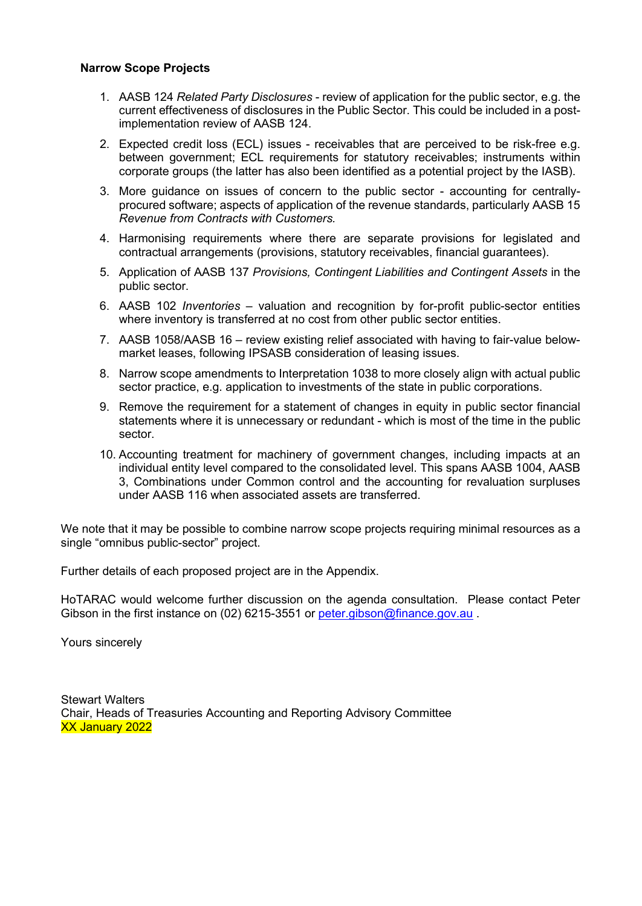# **Narrow Scope Projects**

- 1. AASB 124 *Related Party Disclosures* review of application for the public sector, e.g. the current effectiveness of disclosures in the Public Sector. This could be included in a postimplementation review of AASB 124.
- 2. Expected credit loss (ECL) issues receivables that are perceived to be risk-free e.g. between government; ECL requirements for statutory receivables; instruments within corporate groups (the latter has also been identified as a potential project by the IASB).
- 3. More guidance on issues of concern to the public sector accounting for centrallyprocured software; aspects of application of the revenue standards, particularly AASB 15 *Revenue from Contracts with Customers.*
- 4. Harmonising requirements where there are separate provisions for legislated and contractual arrangements (provisions, statutory receivables, financial guarantees).
- 5. Application of AASB 137 *Provisions, Contingent Liabilities and Contingent Assets* in the public sector.
- 6. AASB 102 *Inventories* valuation and recognition by for-profit public-sector entities where inventory is transferred at no cost from other public sector entities.
- 7. AASB 1058/AASB 16 review existing relief associated with having to fair-value belowmarket leases, following IPSASB consideration of leasing issues.
- 8. Narrow scope amendments to Interpretation 1038 to more closely align with actual public sector practice, e.g. application to investments of the state in public corporations.
- 9. Remove the requirement for a statement of changes in equity in public sector financial statements where it is unnecessary or redundant - which is most of the time in the public sector.
- 10. Accounting treatment for machinery of government changes, including impacts at an individual entity level compared to the consolidated level. This spans AASB 1004, AASB 3, Combinations under Common control and the accounting for revaluation surpluses under AASB 116 when associated assets are transferred.

We note that it may be possible to combine narrow scope projects requiring minimal resources as a single "omnibus public-sector" project.

Further details of each proposed project are in the Appendix.

HoTARAC would welcome further discussion on the agenda consultation. Please contact Peter Gibson in the first instance on (02) 6215-3551 or [peter.gibson@finance.gov.au](mailto:peter.gibson@finance.gov.au)

Yours sincerely

Stewart Walters Chair, Heads of Treasuries Accounting and Reporting Advisory Committee XX January 2022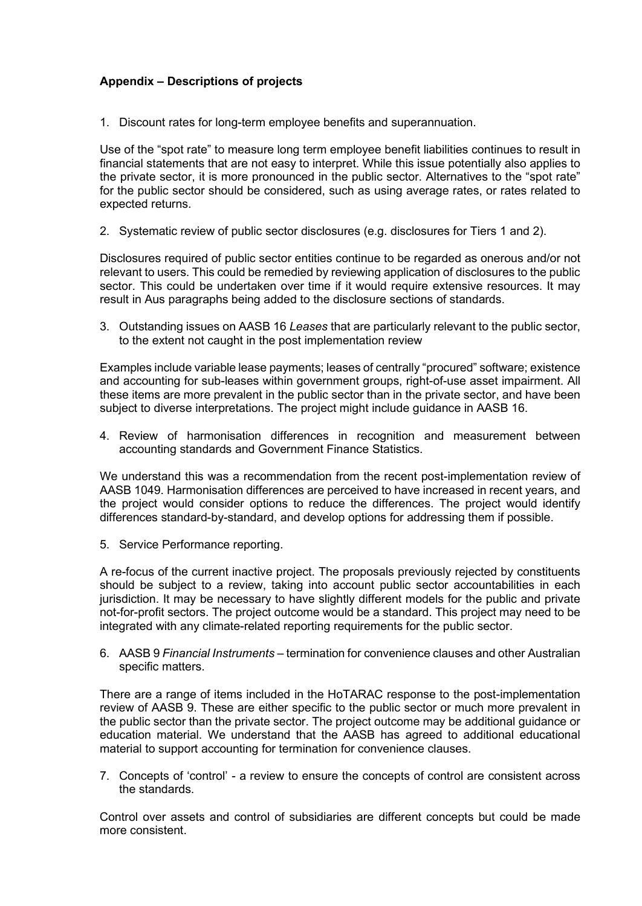# **Appendix – Descriptions of projects**

1. Discount rates for long-term employee benefits and superannuation.

Use of the "spot rate" to measure long term employee benefit liabilities continues to result in financial statements that are not easy to interpret. While this issue potentially also applies to the private sector, it is more pronounced in the public sector. Alternatives to the "spot rate" for the public sector should be considered, such as using average rates, or rates related to expected returns.

2. Systematic review of public sector disclosures (e.g. disclosures for Tiers 1 and 2).

Disclosures required of public sector entities continue to be regarded as onerous and/or not relevant to users. This could be remedied by reviewing application of disclosures to the public sector. This could be undertaken over time if it would require extensive resources. It may result in Aus paragraphs being added to the disclosure sections of standards.

3. Outstanding issues on AASB 16 *Leases* that are particularly relevant to the public sector, to the extent not caught in the post implementation review

Examples include variable lease payments; leases of centrally "procured" software; existence and accounting for sub-leases within government groups, right-of-use asset impairment. All these items are more prevalent in the public sector than in the private sector, and have been subject to diverse interpretations. The project might include guidance in AASB 16.

4. Review of harmonisation differences in recognition and measurement between accounting standards and Government Finance Statistics.

We understand this was a recommendation from the recent post-implementation review of AASB 1049. Harmonisation differences are perceived to have increased in recent years, and the project would consider options to reduce the differences. The project would identify differences standard-by-standard, and develop options for addressing them if possible.

5. Service Performance reporting.

A re-focus of the current inactive project. The proposals previously rejected by constituents should be subject to a review, taking into account public sector accountabilities in each jurisdiction. It may be necessary to have slightly different models for the public and private not-for-profit sectors. The project outcome would be a standard. This project may need to be integrated with any climate-related reporting requirements for the public sector.

6. AASB 9 *Financial Instruments* – termination for convenience clauses and other Australian specific matters.

There are a range of items included in the HoTARAC response to the post-implementation review of AASB 9. These are either specific to the public sector or much more prevalent in the public sector than the private sector. The project outcome may be additional guidance or education material. We understand that the AASB has agreed to additional educational material to support accounting for termination for convenience clauses.

7. Concepts of 'control' - a review to ensure the concepts of control are consistent across the standards.

Control over assets and control of subsidiaries are different concepts but could be made more consistent.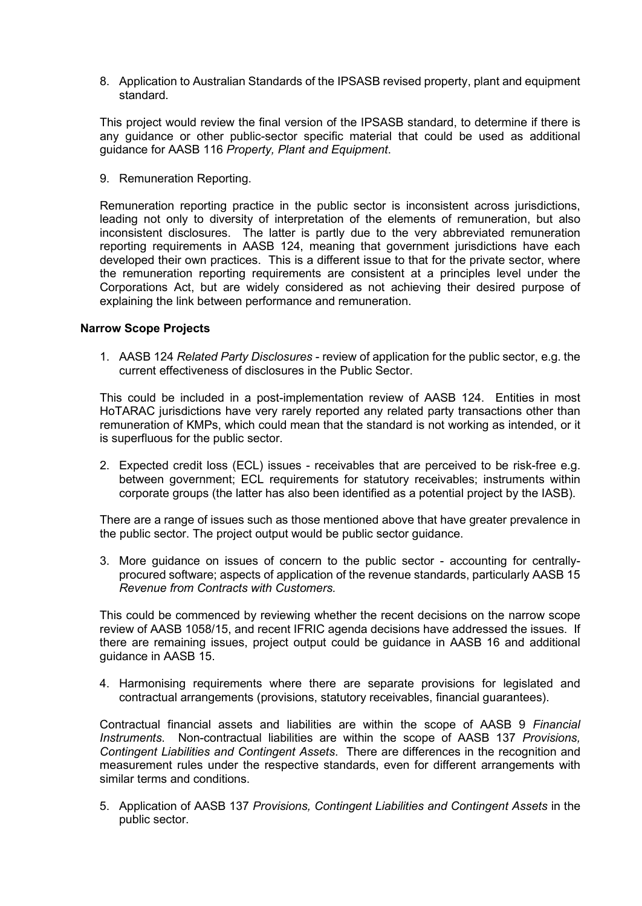8. Application to Australian Standards of the IPSASB revised property, plant and equipment standard.

This project would review the final version of the IPSASB standard, to determine if there is any guidance or other public-sector specific material that could be used as additional guidance for AASB 116 *Property, Plant and Equipment*.

9. Remuneration Reporting.

Remuneration reporting practice in the public sector is inconsistent across jurisdictions, leading not only to diversity of interpretation of the elements of remuneration, but also inconsistent disclosures. The latter is partly due to the very abbreviated remuneration reporting requirements in AASB 124, meaning that government jurisdictions have each developed their own practices. This is a different issue to that for the private sector, where the remuneration reporting requirements are consistent at a principles level under the Corporations Act, but are widely considered as not achieving their desired purpose of explaining the link between performance and remuneration.

### **Narrow Scope Projects**

1. AASB 124 *Related Party Disclosures* - review of application for the public sector, e.g. the current effectiveness of disclosures in the Public Sector.

This could be included in a post-implementation review of AASB 124. Entities in most HoTARAC jurisdictions have very rarely reported any related party transactions other than remuneration of KMPs, which could mean that the standard is not working as intended, or it is superfluous for the public sector.

2. Expected credit loss (ECL) issues - receivables that are perceived to be risk-free e.g. between government; ECL requirements for statutory receivables; instruments within corporate groups (the latter has also been identified as a potential project by the IASB).

There are a range of issues such as those mentioned above that have greater prevalence in the public sector. The project output would be public sector guidance.

3. More guidance on issues of concern to the public sector - accounting for centrallyprocured software; aspects of application of the revenue standards, particularly AASB 15 *Revenue from Contracts with Customers.*

This could be commenced by reviewing whether the recent decisions on the narrow scope review of AASB 1058/15, and recent IFRIC agenda decisions have addressed the issues. If there are remaining issues, project output could be guidance in AASB 16 and additional guidance in AASB 15.

4. Harmonising requirements where there are separate provisions for legislated and contractual arrangements (provisions, statutory receivables, financial guarantees).

Contractual financial assets and liabilities are within the scope of AASB 9 *Financial Instruments*. Non-contractual liabilities are within the scope of AASB 137 *Provisions, Contingent Liabilities and Contingent Assets*. There are differences in the recognition and measurement rules under the respective standards, even for different arrangements with similar terms and conditions.

5. Application of AASB 137 *Provisions, Contingent Liabilities and Contingent Assets* in the public sector.